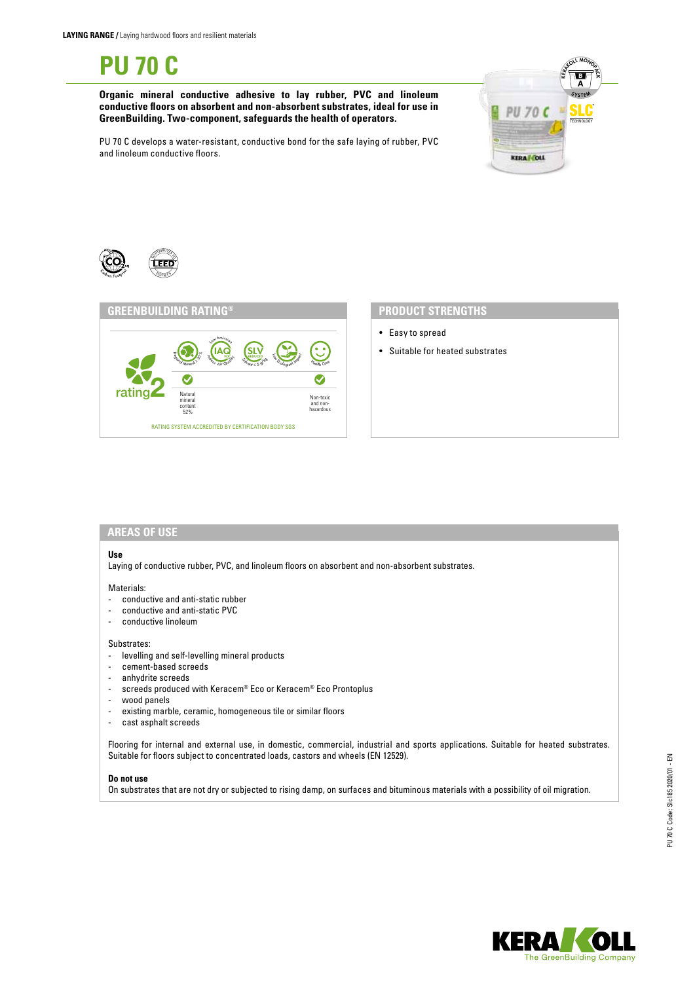**PU 70 C**

**Organic mineral conductive adhesive to lay rubber, PVC and linoleum conductive floors on absorbent and non-absorbent substrates, ideal for use in GreenBuilding. Two-component, safeguards the health of operators.**



PU 70 C develops a water-resistant, conductive bond for the safe laying of rubber, PVC and linoleum conductive floors.





- Easy to spread
- Suitable for heated substrates

# **AREAS OF USE**

#### **Use**

Laying of conductive rubber, PVC, and linoleum floors on absorbent and non-absorbent substrates.

#### Materials:

- conductive and anti-static rubber
- conductive and anti-static PVC<br>- conductive linoleum
- conductive linoleum

#### Substrates:

- levelling and self-levelling mineral products
- cement-based screeds
- anhydrite screeds
- screeds produced with Keracem® Eco or Keracem® Eco Prontoplus
- wood panels
- existing marble, ceramic, homogeneous tile or similar floors
- cast asphalt screeds

Flooring for internal and external use, in domestic, commercial, industrial and sports applications. Suitable for heated substrates. Suitable for floors subject to concentrated loads, castors and wheels (EN 12529).

#### **Do not use**

On substrates that are not dry or subjected to rising damp, on surfaces and bituminous materials with a possibility of oil migration.

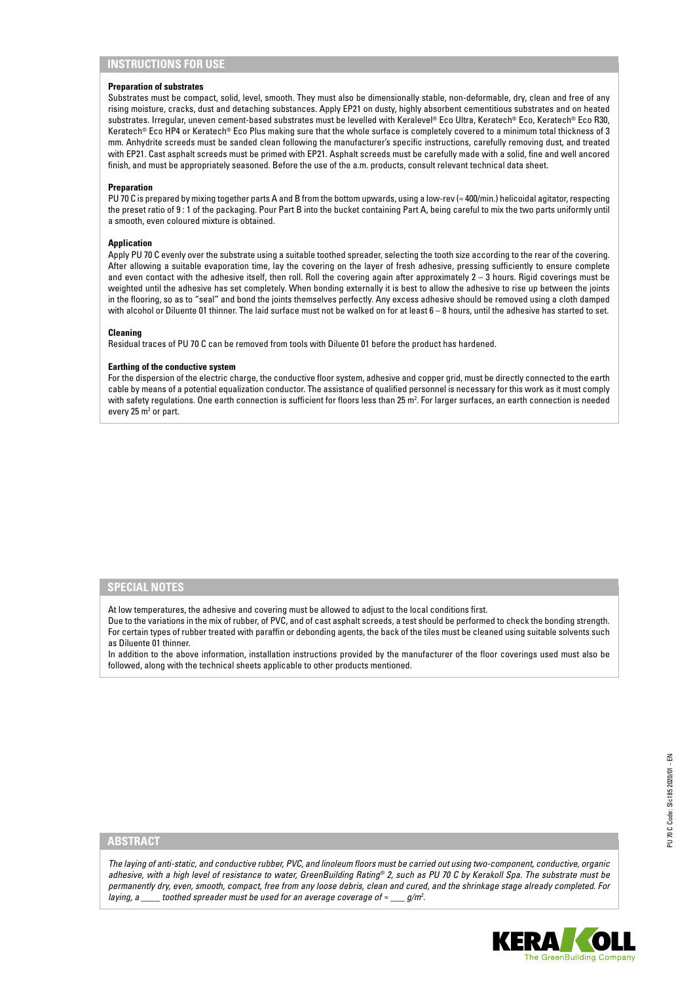# **INSTRUCTIONS FOR USE**

### **Preparation of substrates**

Substrates must be compact, solid, level, smooth. They must also be dimensionally stable, non-deformable, dry, clean and free of any rising moisture, cracks, dust and detaching substances. Apply EP21 on dusty, highly absorbent cementitious substrates and on heated substrates. Irregular, uneven cement-based substrates must be levelled with Keralevel® Eco Ultra, Keratech® Eco, Keratech® Eco R30, Keratech® Eco HP4 or Keratech® Eco Plus making sure that the whole surface is completely covered to a minimum total thickness of 3 mm. Anhydrite screeds must be sanded clean following the manufacturer's specific instructions, carefully removing dust, and treated with EP21. Cast asphalt screeds must be primed with EP21. Asphalt screeds must be carefully made with a solid, fine and well ancored finish, and must be appropriately seasoned. Before the use of the a.m. products, consult relevant technical data sheet.

### **Preparation**

PU 70 C is prepared by mixing together parts A and B from the bottom upwards, using a low-rev (≈ 400/min.) helicoidal agitator, respecting the preset ratio of 9 : 1 of the packaging. Pour Part B into the bucket containing Part A, being careful to mix the two parts uniformly until a smooth, even coloured mixture is obtained.

## **Application**

Apply PU 70 C evenly over the substrate using a suitable toothed spreader, selecting the tooth size according to the rear of the covering. After allowing a suitable evaporation time, lay the covering on the layer of fresh adhesive, pressing sufficiently to ensure complete and even contact with the adhesive itself, then roll. Roll the covering again after approximately 2 – 3 hours. Rigid coverings must be weighted until the adhesive has set completely. When bonding externally it is best to allow the adhesive to rise up between the joints in the flooring, so as to "seal" and bond the joints themselves perfectly. Any excess adhesive should be removed using a cloth damped with alcohol or Diluente 01 thinner. The laid surface must not be walked on for at least 6 – 8 hours, until the adhesive has started to set.

#### **Cleaning**

Residual traces of PU 70 C can be removed from tools with Diluente 01 before the product has hardened.

#### **Earthing of the conductive system**

For the dispersion of the electric charge, the conductive floor system, adhesive and copper grid, must be directly connected to the earth cable by means of a potential equalization conductor. The assistance of qualified personnel is necessary for this work as it must comply with safety regulations. One earth connection is sufficient for floors less than 25 m². For larger surfaces, an earth connection is needed every  $25 \text{ m}^2$  or part.

## **SPECIAL NOTES**

At low temperatures, the adhesive and covering must be allowed to adjust to the local conditions first.

Due to the variations in the mix of rubber, of PVC, and of cast asphalt screeds, a test should be performed to check the bonding strength. For certain types of rubber treated with paraffin or debonding agents, the back of the tiles must be cleaned using suitable solvents such as Diluente 01 thinner.

In addition to the above information, installation instructions provided by the manufacturer of the floor coverings used must also be followed, along with the technical sheets applicable to other products mentioned.

## **ABSTRACT**

*The laying of anti-static, and conductive rubber, PVC, and linoleum floors must be carried out using two-component, conductive, organic adhesive, with a high level of resistance to water, GreenBuilding Rating® 2, such as PU 70 C by Kerakoll Spa. The substrate must be permanently dry, even, smooth, compact, free from any loose debris, clean and cured, and the shrinkage stage already completed. For laying, a \_\_\_\_ toothed spreader must be used for an average coverage of ≈ \_\_\_ g/m2 .*